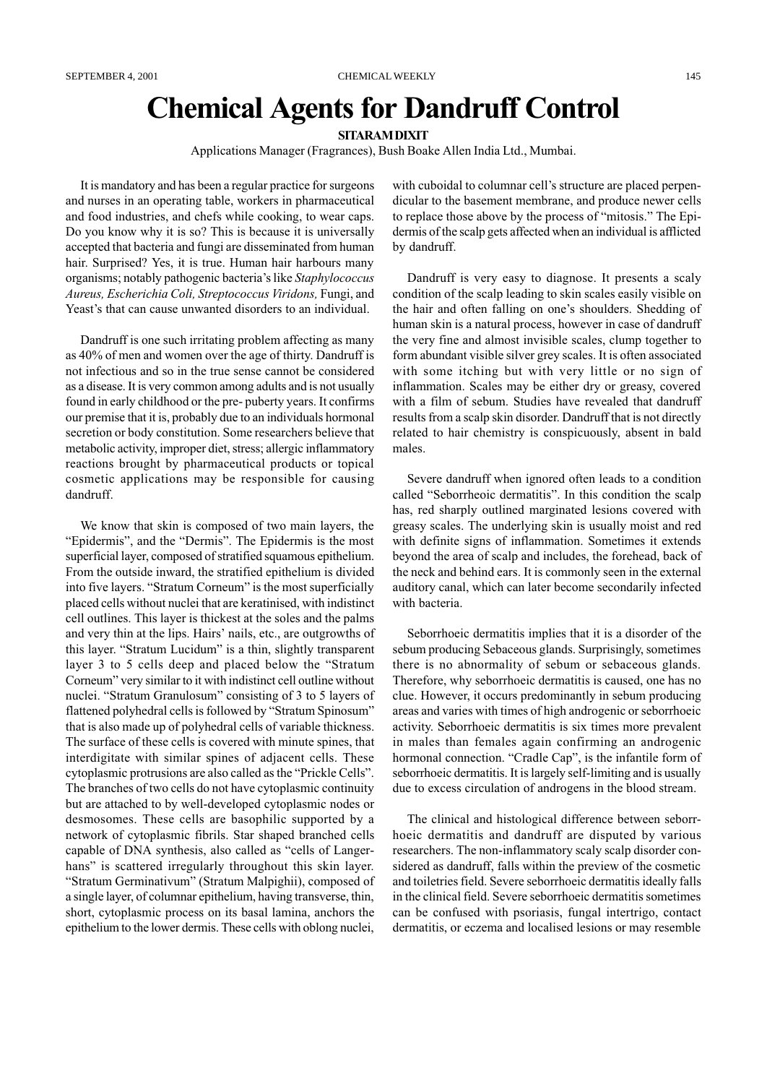# Chemical Agents for Dandruff Control

## **SITARAM DIXIT**

Applications Manager (Fragrances), Bush Boake Allen India Ltd., Mumbai.

It is mandatory and has been a regular practice for surgeons and nurses in an operating table, workers in pharmaceutical and food industries, and chefs while cooking, to wear caps. Do you know why it is so? This is because it is universally accepted that bacteria and fungi are disseminated from human hair. Surprised? Yes, it is true. Human hair harbours many organisms; notably pathogenic bacteria's like Staphylococcus Aureus, Escherichia Coli, Streptococcus Viridons, Fungi, and Yeast's that can cause unwanted disorders to an individual.

Dandruff is one such irritating problem affecting as many as 40% of men and women over the age of thirty. Dandruff is not infectious and so in the true sense cannot be considered as a disease. It is very common among adults and is not usually found in early childhood or the pre- puberty years. It confirms our premise that it is, probably due to an individuals hormonal secretion or body constitution. Some researchers believe that metabolic activity, improper diet, stress; allergic inflammatory reactions brought by pharmaceutical products or topical cosmetic applications may be responsible for causing dandruff.

We know that skin is composed of two main layers, the "Epidermis", and the "Dermis". The Epidermis is the most superficial layer, composed of stratified squamous epithelium. From the outside inward, the stratified epithelium is divided into five layers. "Stratum Corneum" is the most superficially placed cells without nuclei that are keratinised, with indistinct cell outlines. This layer is thickest at the soles and the palms and very thin at the lips. Hairs' nails, etc., are outgrowths of this layer. "Stratum Lucidum" is a thin, slightly transparent layer 3 to 5 cells deep and placed below the "Stratum" Corneum" very similar to it with indistinct cell outline without nuclei. "Stratum Granulosum" consisting of 3 to 5 layers of flattened polyhedral cells is followed by "Stratum Spinosum" that is also made up of polyhedral cells of variable thickness. The surface of these cells is covered with minute spines, that interdigitate with similar spines of adjacent cells. These cytoplasmic protrusions are also called as the "Prickle Cells". The branches of two cells do not have cytoplasmic continuity but are attached to by well-developed cytoplasmic nodes or desmosomes. These cells are basophilic supported by a network of cytoplasmic fibrils. Star shaped branched cells capable of DNA synthesis, also called as "cells of Langerhans" is scattered irregularly throughout this skin layer. "Stratum Germinativum" (Stratum Malpighii), composed of a single layer, of columnar epithelium, having transverse, thin, short, cytoplasmic process on its basal lamina, anchors the epithelium to the lower dermis. These cells with oblong nuclei,

with cuboidal to columnar cell's structure are placed perpendicular to the basement membrane, and produce newer cells to replace those above by the process of "mitosis." The Epidermis of the scalp gets affected when an individual is afflicted by dandruff.

Dandruff is very easy to diagnose. It presents a scaly condition of the scalp leading to skin scales easily visible on the hair and often falling on one's shoulders. Shedding of human skin is a natural process, however in case of dandruff the very fine and almost invisible scales, clump together to form abundant visible silver grey scales. It is often associated with some itching but with very little or no sign of inflammation. Scales may be either dry or greasy, covered with a film of sebum. Studies have revealed that dandruff results from a scalp skin disorder. Dandruff that is not directly related to hair chemistry is conspicuously, absent in bald males.

Severe dandruff when ignored often leads to a condition called "Seborrheoic dermatitis". In this condition the scalp has, red sharply outlined marginated lesions covered with greasy scales. The underlying skin is usually moist and red with definite signs of inflammation. Sometimes it extends beyond the area of scalp and includes, the forehead, back of the neck and behind ears. It is commonly seen in the external auditory canal, which can later become secondarily infected with bacteria.

Seborrhoeic dermatitis implies that it is a disorder of the sebum producing Sebaceous glands. Surprisingly, sometimes there is no abnormality of sebum or sebaceous glands. Therefore, why seborrhoeic dermatitis is caused, one has no clue. However, it occurs predominantly in sebum producing areas and varies with times of high androgenic or seborrhoeic activity. Seborrhoeic dermatitis is six times more prevalent in males than females again confirming an androgenic hormonal connection. "Cradle Cap", is the infantile form of seborrhoeic dermatitis. It is largely self-limiting and is usually due to excess circulation of androgens in the blood stream.

The clinical and histological difference between seborrhoeic dermatitis and dandruff are disputed by various researchers. The non-inflammatory scaly scalp disorder considered as dandruff, falls within the preview of the cosmetic and toiletries field. Severe seborrhoeic dermatitis ideally falls in the clinical field. Severe seborrhoeic dermatitis sometimes can be confused with psoriasis, fungal intertrigo, contact dermatitis, or eczema and localised lesions or may resemble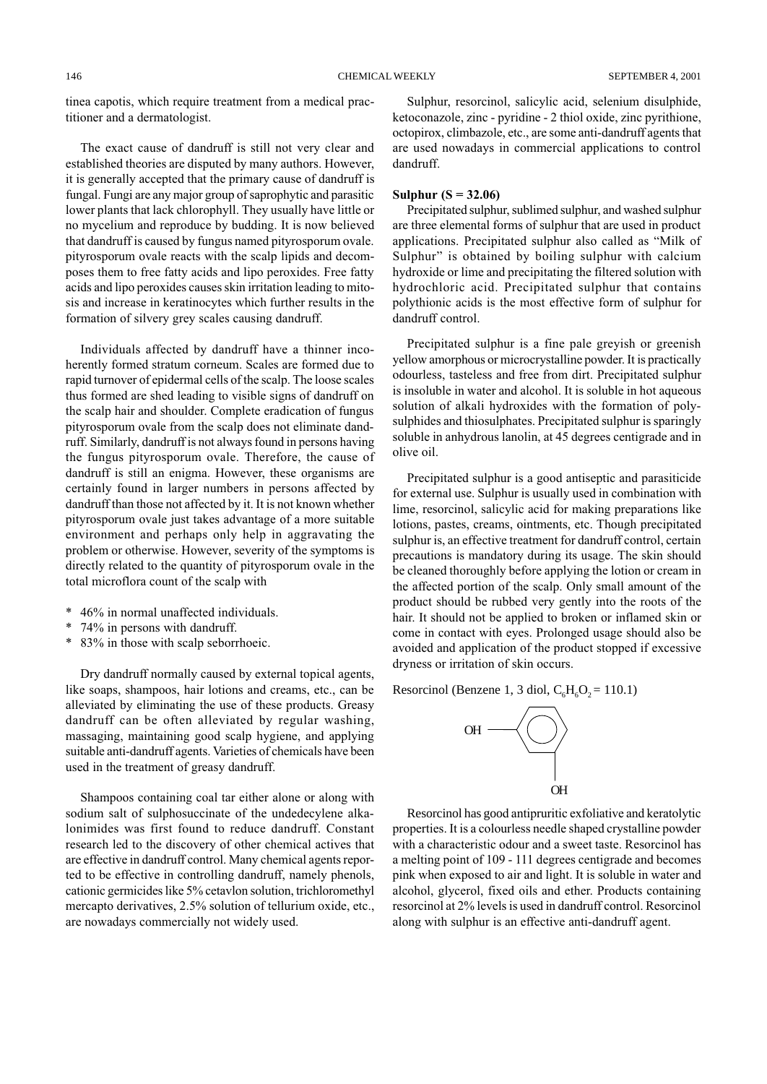tinea capotis, which require treatment from a medical practitioner and a dermatologist.

The exact cause of dandruff is still not very clear and established theories are disputed by many authors. However, it is generally accepted that the primary cause of dandruff is fungal. Fungi are any major group of saprophytic and parasitic lower plants that lack chlorophyll. They usually have little or no mycelium and reproduce by budding. It is now believed that dandruff is caused by fungus named pityrosporum ovale. pityrosporum ovale reacts with the scalp lipids and decomposes them to free fatty acids and lipo peroxides. Free fatty acids and lipo peroxides causes skin irritation leading to mitosis and increase in keratinocytes which further results in the formation of silvery grey scales causing dandruff.

Individuals affected by dandruff have a thinner incoherently formed stratum corneum. Scales are formed due to rapid turnover of epidermal cells of the scalp. The loose scales thus formed are shed leading to visible signs of dandruff on the scalp hair and shoulder. Complete eradication of fungus pityrosporum ovale from the scalp does not eliminate dandruff. Similarly, dandruff is not always found in persons having the fungus pityrosporum ovale. Therefore, the cause of dandruff is still an enigma. However, these organisms are certainly found in larger numbers in persons affected by dandruff than those not affected by it. It is not known whether pityrosporum ovale just takes advantage of a more suitable environment and perhaps only help in aggravating the problem or otherwise. However, severity of the symptoms is directly related to the quantity of pityrosporum ovale in the total microflora count of the scalp with

- \* 46% in normal unaffected individuals.
- 74% in persons with dandruff.
- \* 83% in those with scalp seborrhoeic.

Dry dandruff normally caused by external topical agents, like soaps, shampoos, hair lotions and creams, etc., can be alleviated by eliminating the use of these products. Greasy dandruff can be often alleviated by regular washing, massaging, maintaining good scalp hygiene, and applying suitable anti-dandruff agents. Varieties of chemicals have been used in the treatment of greasy dandruff.

Shampoos containing coal tar either alone or along with sodium salt of sulphosuccinate of the undedecylene alkalonimides was first found to reduce dandruff. Constant research led to the discovery of other chemical actives that are effective in dandruff control. Many chemical agents reported to be effective in controlling dandruff, namely phenols, cationic germicides like 5% cetavlon solution, trichloromethyl mercapto derivatives, 2.5% solution of tellurium oxide, etc., are nowadays commercially not widely used.

Sulphur, resorcinol, salicylic acid, selenium disulphide, ketoconazole, zinc - pyridine - 2 thiol oxide, zinc pyrithione, octopirox, climbazole, etc., are some anti-dandruff agents that are used nowadays in commercial applications to control dandruff.

# Sulphur  $(S = 32.06)$

Precipitated sulphur, sublimed sulphur, and washed sulphur are three elemental forms of sulphur that are used in product applications. Precipitated sulphur also called as "Milk of Sulphur" is obtained by boiling sulphur with calcium hydroxide or lime and precipitating the filtered solution with hydrochloric acid. Precipitated sulphur that contains polythionic acids is the most effective form of sulphur for dandruff control.

Precipitated sulphur is a fine pale greyish or greenish yellow amorphous or microcrystalline powder. It is practically odourless, tasteless and free from dirt. Precipitated sulphur is insoluble in water and alcohol. It is soluble in hot aqueous solution of alkali hydroxides with the formation of polysulphides and thiosulphates. Precipitated sulphur is sparingly soluble in anhydrous lanolin, at 45 degrees centigrade and in olive oil.

Precipitated sulphur is a good antiseptic and parasiticide for external use. Sulphur is usually used in combination with lime, resorcinol, salicylic acid for making preparations like lotions, pastes, creams, ointments, etc. Though precipitated sulphur is, an effective treatment for dandruff control, certain precautions is mandatory during its usage. The skin should be cleaned thoroughly before applying the lotion or cream in the affected portion of the scalp. Only small amount of the product should be rubbed very gently into the roots of the hair. It should not be applied to broken or inflamed skin or come in contact with eyes. Prolonged usage should also be avoided and application of the product stopped if excessive dryness or irritation of skin occurs.

Resorcinol (Benzene 1, 3 diol,  $C_6H_6O_2 = 110.1$ )



Resorcinol has good antipruritic exfoliative and keratolytic properties. It is a colourless needle shaped crystalline powder with a characteristic odour and a sweet taste. Resorcinol has a melting point of 109 - 111 degrees centigrade and becomes pink when exposed to air and light. It is soluble in water and alcohol, glycerol, fixed oils and ether. Products containing resorcinol at 2% levels is used in dandruff control. Resorcinol along with sulphur is an effective anti-dandruff agent.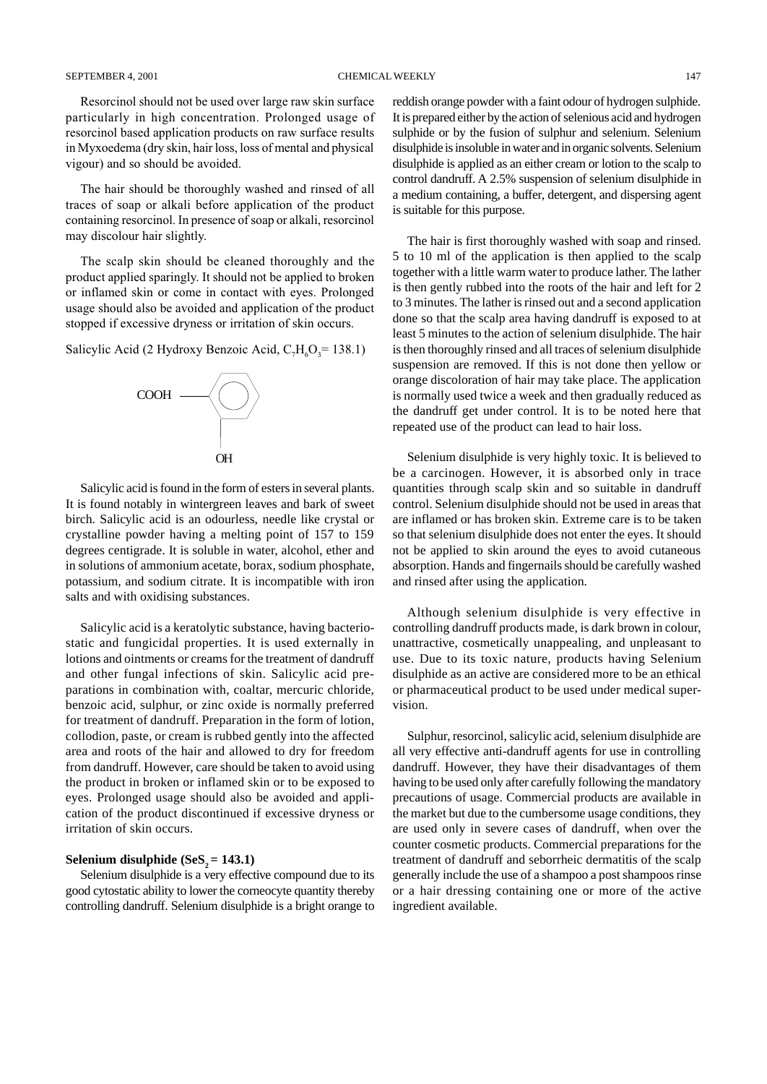# SEPTEMBER 4, 2001 CHEMICAL WEEKLY 147

Resorcinol should not be used over large raw skin surface particularly in high concentration. Prolonged usage of resorcinol based application products on raw surface results in Myxoedema (dry skin, hair loss, loss of mental and physical vigour) and so should be avoided.

The hair should be thoroughly washed and rinsed of all traces of soap or alkali before application of the product containing resorcinol. In presence of soap or alkali, resorcinol may discolour hair slightly.

The scalp skin should be cleaned thoroughly and the product applied sparingly. It should not be applied to broken or inflamed skin or come in contact with eyes. Prolonged usage should also be avoided and application of the product stopped if excessive dryness or irritation of skin occurs.

Salicylic Acid (2 Hydroxy Benzoic Acid,  $C_7H_6O_3 = 138.1$ )



Salicylic acid is found in the form of esters in several plants. It is found notably in wintergreen leaves and bark of sweet birch. Salicylic acid is an odourless, needle like crystal or crystalline powder having a melting point of 157 to 159 degrees centigrade. It is soluble in water, alcohol, ether and in solutions of ammonium acetate, borax, sodium phosphate, potassium, and sodium citrate. It is incompatible with iron salts and with oxidising substances.

Salicylic acid is a keratolytic substance, having bacteriostatic and fungicidal properties. It is used externally in lotions and ointments or creams for the treatment of dandruff and other fungal infections of skin. Salicylic acid preparations in combination with, coaltar, mercuric chloride, benzoic acid, sulphur, or zinc oxide is normally preferred for treatment of dandruff. Preparation in the form of lotion, collodion, paste, or cream is rubbed gently into the affected area and roots of the hair and allowed to dry for freedom from dandruff. However, care should be taken to avoid using the product in broken or inflamed skin or to be exposed to eyes. Prolonged usage should also be avoided and application of the product discontinued if excessive dryness or irritation of skin occurs.

# **Selenium disulphide (SeS<sub>2</sub> = 143.1)**

Selenium disulphide is a very effective compound due to its good cytostatic ability to lower the corneocyte quantity thereby controlling dandruff. Selenium disulphide is a bright orange to reddish orange powder with a faint odour of hydrogen sulphide. It is prepared either by the action of selenious acid and hydrogen sulphide or by the fusion of sulphur and selenium. Selenium disulphide is insoluble in water and in organic solvents. Selenium disulphide is applied as an either cream or lotion to the scalp to control dandruff. A 2.5% suspension of selenium disulphide in a medium containing, a buffer, detergent, and dispersing agent is suitable for this purpose.

The hair is first thoroughly washed with soap and rinsed. 5 to 10 ml of the application is then applied to the scalp together with a little warm water to produce lather. The lather is then gently rubbed into the roots of the hair and left for 2 to 3 minutes. The lather is rinsed out and a second application done so that the scalp area having dandruff is exposed to at least 5 minutes to the action of selenium disulphide. The hair is then thoroughly rinsed and all traces of selenium disulphide suspension are removed. If this is not done then yellow or orange discoloration of hair may take place. The application is normally used twice a week and then gradually reduced as the dandruff get under control. It is to be noted here that repeated use of the product can lead to hair loss.

Selenium disulphide is very highly toxic. It is believed to be a carcinogen. However, it is absorbed only in trace quantities through scalp skin and so suitable in dandruff control. Selenium disulphide should not be used in areas that are inflamed or has broken skin. Extreme care is to be taken so that selenium disulphide does not enter the eyes. It should not be applied to skin around the eyes to avoid cutaneous absorption. Hands and fingernails should be carefully washed and rinsed after using the application.

Although selenium disulphide is very effective in controlling dandruff products made, is dark brown in colour, unattractive, cosmetically unappealing, and unpleasant to use. Due to its toxic nature, products having Selenium disulphide as an active are considered more to be an ethical or pharmaceutical product to be used under medical supervision.

Sulphur, resorcinol, salicylic acid, selenium disulphide are all very effective anti-dandruff agents for use in controlling dandruff. However, they have their disadvantages of them having to be used only after carefully following the mandatory precautions of usage. Commercial products are available in the market but due to the cumbersome usage conditions, they are used only in severe cases of dandruff, when over the counter cosmetic products. Commercial preparations for the treatment of dandruff and seborrheic dermatitis of the scalp generally include the use of a shampoo a post shampoos rinse or a hair dressing containing one or more of the active ingredient available.